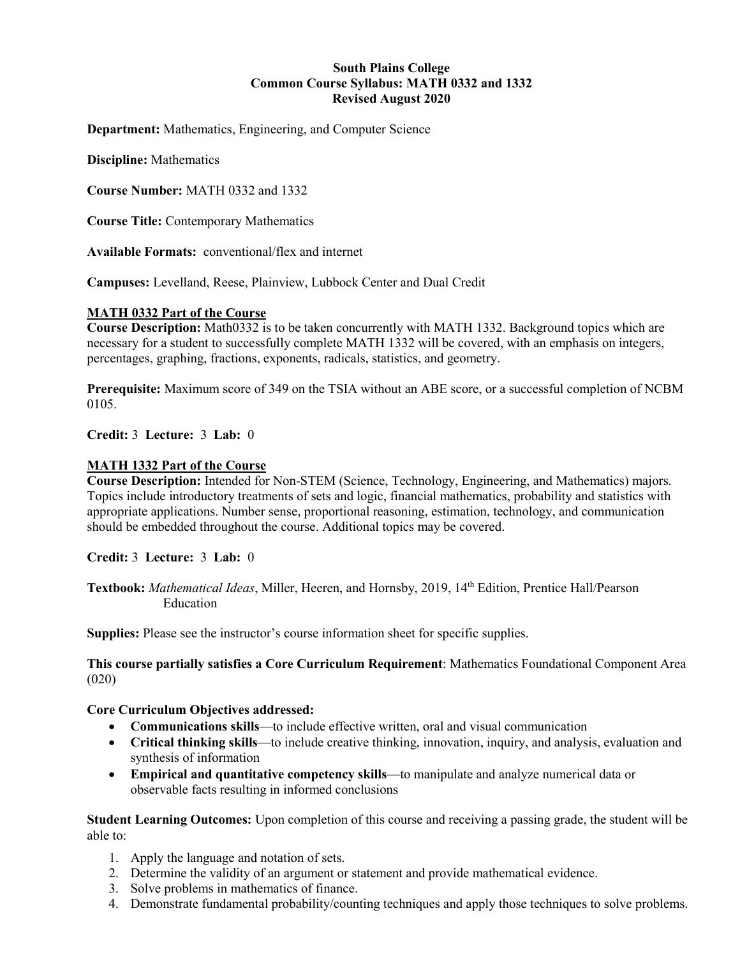#### **South Plains College Common Course Syllabus: MATH 0332 and 1332 Revised August 2020**

**Department:** Mathematics, Engineering, and Computer Science

**Discipline:** Mathematics

**Course Number:** MATH 0332 and 1332

**Course Title:** Contemporary Mathematics

**Available Formats:** conventional/flex and internet

**Campuses:** Levelland, Reese, Plainview, Lubbock Center and Dual Credit

#### **MATH 0332 Part of the Course**

**Course Description:** Math0332 is to be taken concurrently with MATH 1332. Background topics which are necessary for a student to successfully complete MATH 1332 will be covered, with an emphasis on integers, percentages, graphing, fractions, exponents, radicals, statistics, and geometry.

**Prerequisite:** Maximum score of 349 on the TSIA without an ABE score, or a successful completion of NCBM 0105.

**Credit:** 3 **Lecture:** 3 **Lab:** 0

#### **MATH 1332 Part of the Course**

**Course Description:** Intended for Non-STEM (Science, Technology, Engineering, and Mathematics) majors. Topics include introductory treatments of sets and logic, financial mathematics, probability and statistics with appropriate applications. Number sense, proportional reasoning, estimation, technology, and communication should be embedded throughout the course. Additional topics may be covered.

**Credit:** 3 **Lecture:** 3 **Lab:** 0

**Textbook:** *Mathematical Ideas*, Miller, Heeren, and Hornsby, 2019, 14th Edition, Prentice Hall/Pearson Education

**Supplies:** Please see the instructor's course information sheet for specific supplies.

**This course partially satisfies a Core Curriculum Requirement**: Mathematics Foundational Component Area (020)

#### **Core Curriculum Objectives addressed:**

- **Communications skills**—to include effective written, oral and visual communication
- **Critical thinking skills**—to include creative thinking, innovation, inquiry, and analysis, evaluation and synthesis of information
- **Empirical and quantitative competency skills**—to manipulate and analyze numerical data or observable facts resulting in informed conclusions

**Student Learning Outcomes:** Upon completion of this course and receiving a passing grade, the student will be able to:

- 1. Apply the language and notation of sets.
- 2. Determine the validity of an argument or statement and provide mathematical evidence.
- 3. Solve problems in mathematics of finance.
- 4. Demonstrate fundamental probability/counting techniques and apply those techniques to solve problems.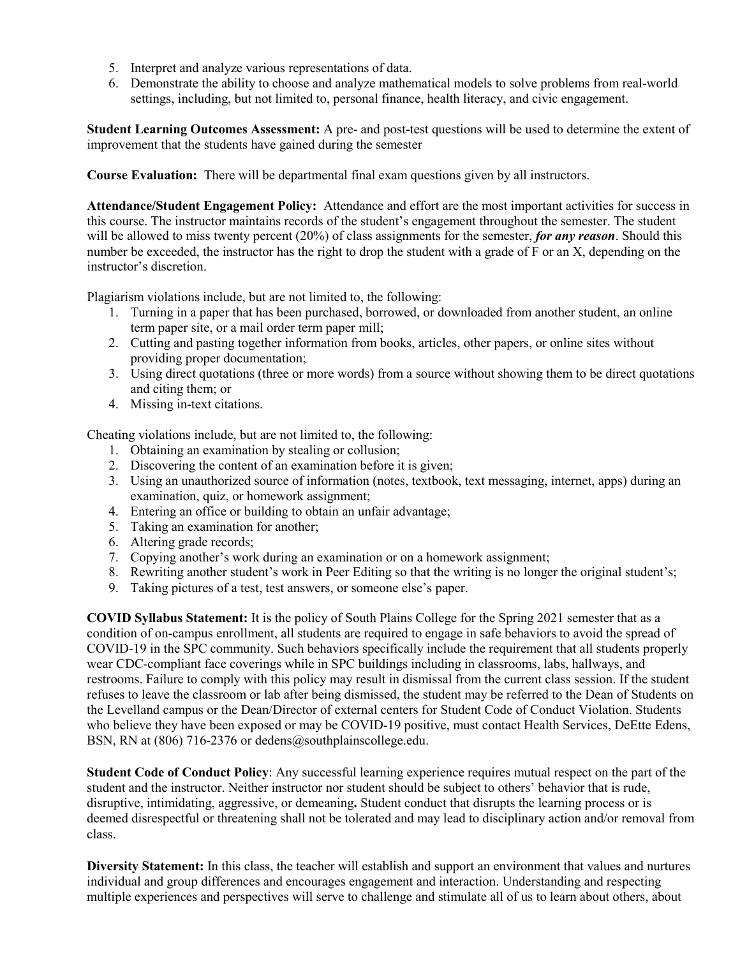- 5. Interpret and analyze various representations of data.
- 6. Demonstrate the ability to choose and analyze mathematical models to solve problems from real-world settings, including, but not limited to, personal finance, health literacy, and civic engagement.

**Student Learning Outcomes Assessment:** A pre- and post-test questions will be used to determine the extent of improvement that the students have gained during the semester

**Course Evaluation:** There will be departmental final exam questions given by all instructors.

**Attendance/Student Engagement Policy:** Attendance and effort are the most important activities for success in this course. The instructor maintains records of the student's engagement throughout the semester. The student will be allowed to miss twenty percent (20%) of class assignments for the semester, *for any reason*. Should this number be exceeded, the instructor has the right to drop the student with a grade of F or an X, depending on the instructor's discretion.

Plagiarism violations include, but are not limited to, the following:

- 1. Turning in a paper that has been purchased, borrowed, or downloaded from another student, an online term paper site, or a mail order term paper mill;
- 2. Cutting and pasting together information from books, articles, other papers, or online sites without providing proper documentation;
- 3. Using direct quotations (three or more words) from a source without showing them to be direct quotations and citing them; or
- 4. Missing in-text citations.

Cheating violations include, but are not limited to, the following:

- 1. Obtaining an examination by stealing or collusion;
- 2. Discovering the content of an examination before it is given;
- 3. Using an unauthorized source of information (notes, textbook, text messaging, internet, apps) during an examination, quiz, or homework assignment;
- 4. Entering an office or building to obtain an unfair advantage;
- 5. Taking an examination for another;
- 6. Altering grade records;
- 7. Copying another's work during an examination or on a homework assignment;
- 8. Rewriting another student's work in Peer Editing so that the writing is no longer the original student's;
- 9. Taking pictures of a test, test answers, or someone else's paper.

**COVID Syllabus Statement:** It is the policy of South Plains College for the Spring 2021 semester that as a condition of on-campus enrollment, all students are required to engage in safe behaviors to avoid the spread of COVID-19 in the SPC community. Such behaviors specifically include the requirement that all students properly wear CDC-compliant face coverings while in SPC buildings including in classrooms, labs, hallways, and restrooms. Failure to comply with this policy may result in dismissal from the current class session. If the student refuses to leave the classroom or lab after being dismissed, the student may be referred to the Dean of Students on the Levelland campus or the Dean/Director of external centers for Student Code of Conduct Violation. Students who believe they have been exposed or may be COVID-19 positive, must contact Health Services, DeEtte Edens, BSN, RN at (806) 716-2376 or dedens@southplainscollege.edu.

**Student Code of Conduct Policy**: Any successful learning experience requires mutual respect on the part of the student and the instructor. Neither instructor nor student should be subject to others' behavior that is rude, disruptive, intimidating, aggressive, or demeaning**.** Student conduct that disrupts the learning process or is deemed disrespectful or threatening shall not be tolerated and may lead to disciplinary action and/or removal from class.

**Diversity Statement:** In this class, the teacher will establish and support an environment that values and nurtures individual and group differences and encourages engagement and interaction. Understanding and respecting multiple experiences and perspectives will serve to challenge and stimulate all of us to learn about others, about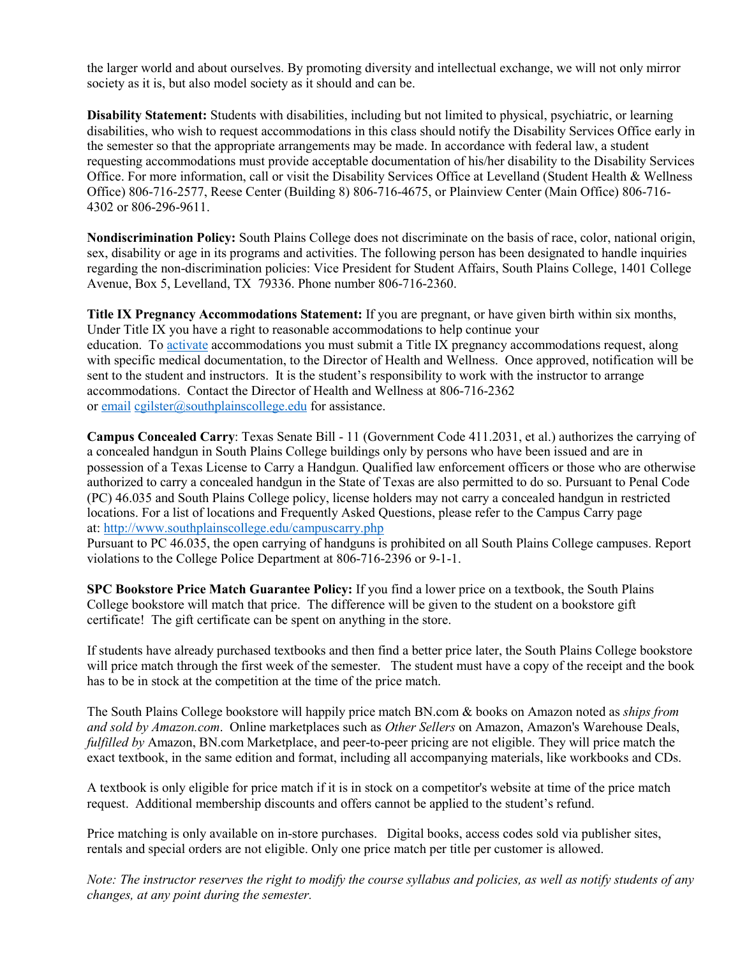the larger world and about ourselves. By promoting diversity and intellectual exchange, we will not only mirror society as it is, but also model society as it should and can be.

**Disability Statement:** Students with disabilities, including but not limited to physical, psychiatric, or learning disabilities, who wish to request accommodations in this class should notify the Disability Services Office early in the semester so that the appropriate arrangements may be made. In accordance with federal law, a student requesting accommodations must provide acceptable documentation of his/her disability to the Disability Services Office. For more information, call or visit the Disability Services Office at Levelland (Student Health & Wellness Office) 806-716-2577, Reese Center (Building 8) 806-716-4675, or Plainview Center (Main Office) 806-716- 4302 or 806-296-9611.

**Nondiscrimination Policy:** South Plains College does not discriminate on the basis of race, color, national origin, sex, disability or age in its programs and activities. The following person has been designated to handle inquiries regarding the non-discrimination policies: Vice President for Student Affairs, South Plains College, 1401 College Avenue, Box 5, Levelland, TX 79336. Phone number 806-716-2360.

**Title IX Pregnancy Accommodations Statement:** If you are pregnant, or have given birth within six months, Under Title IX you have a right to reasonable accommodations to help continue your education. To [activate](http://www.southplainscollege.edu/employees/manualshandbooks/facultyhandbook/sec4.php) accommodations you must submit a Title IX pregnancy accommodations request, along with specific medical documentation, to the Director of Health and Wellness. Once approved, notification will be sent to the student and instructors. It is the student's responsibility to work with the instructor to arrange accommodations. Contact the Director of Health and Wellness at 806-716-2362 or [email](http://www.southplainscollege.edu/employees/manualshandbooks/facultyhandbook/sec4.php) [cgilster@southplainscollege.edu](mailto:cgilster@southplainscollege.edu) for assistance.

**Campus Concealed Carry**: Texas Senate Bill - 11 (Government Code 411.2031, et al.) authorizes the carrying of a concealed handgun in South Plains College buildings only by persons who have been issued and are in possession of a Texas License to Carry a Handgun. Qualified law enforcement officers or those who are otherwise authorized to carry a concealed handgun in the State of Texas are also permitted to do so. Pursuant to Penal Code (PC) 46.035 and South Plains College policy, license holders may not carry a concealed handgun in restricted locations. For a list of locations and Frequently Asked Questions, please refer to the Campus Carry page at: <http://www.southplainscollege.edu/campuscarry.php>

Pursuant to PC 46.035, the open carrying of handguns is prohibited on all South Plains College campuses. Report violations to the College Police Department at 806-716-2396 or 9-1-1.

**SPC Bookstore Price Match Guarantee Policy:** If you find a lower price on a textbook, the South Plains College bookstore will match that price. The difference will be given to the student on a bookstore gift certificate! The gift certificate can be spent on anything in the store.

If students have already purchased textbooks and then find a better price later, the South Plains College bookstore will price match through the first week of the semester. The student must have a copy of the receipt and the book has to be in stock at the competition at the time of the price match.

The South Plains College bookstore will happily price match BN.com & books on Amazon noted as *ships from and sold by Amazon.com*. Online marketplaces such as *Other Sellers* on Amazon, Amazon's Warehouse Deals, *fulfilled by* Amazon, BN.com Marketplace, and peer-to-peer pricing are not eligible. They will price match the exact textbook, in the same edition and format, including all accompanying materials, like workbooks and CDs.

A textbook is only eligible for price match if it is in stock on a competitor's website at time of the price match request. Additional membership discounts and offers cannot be applied to the student's refund.

Price matching is only available on in-store purchases. Digital books, access codes sold via publisher sites, rentals and special orders are not eligible. Only one price match per title per customer is allowed.

*Note: The instructor reserves the right to modify the course syllabus and policies, as well as notify students of any changes, at any point during the semester.*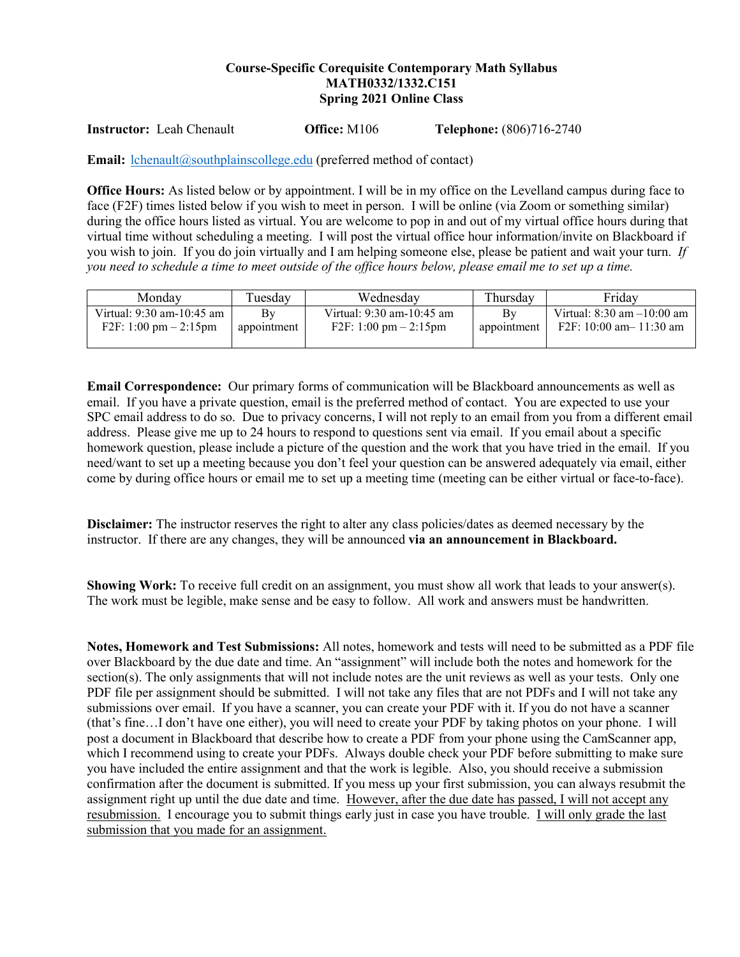## **Course-Specific Corequisite Contemporary Math Syllabus MATH0332/1332.C151 Spring 2021 Online Class**

**Instructor:** Leah Chenault **Office:** M106 **Telephone:** (806)716-2740

**Email:** [lchenault@southplainscollege.edu](mailto:lchenault@southplainscollege.edu) (preferred method of contact)

**Office Hours:** As listed below or by appointment. I will be in my office on the Levelland campus during face to face (F2F) times listed below if you wish to meet in person. I will be online (via Zoom or something similar) during the office hours listed as virtual. You are welcome to pop in and out of my virtual office hours during that virtual time without scheduling a meeting. I will post the virtual office hour information/invite on Blackboard if you wish to join. If you do join virtually and I am helping someone else, please be patient and wait your turn. *If you need to schedule a time to meet outside of the office hours below, please email me to set up a time.* 

| Mondav                    | Tuesday     | Wednesdav                                | Thursday    | Fridav                         |
|---------------------------|-------------|------------------------------------------|-------------|--------------------------------|
| Virtual: 9:30 am-10:45 am | Bv          | Virtual: 9:30 am-10:45 am                | Bv          | Virtual: $8:30$ am $-10:00$ am |
| F2F: 1:00 pm $- 2:15$ pm  | appointment | $F2F: 1:00 \text{ pm} - 2:15 \text{ pm}$ | appointment | F2F: 10:00 am $-$ 11:30 am     |

**Email Correspondence:** Our primary forms of communication will be Blackboard announcements as well as email. If you have a private question, email is the preferred method of contact. You are expected to use your SPC email address to do so. Due to privacy concerns, I will not reply to an email from you from a different email address. Please give me up to 24 hours to respond to questions sent via email. If you email about a specific homework question, please include a picture of the question and the work that you have tried in the email. If you need/want to set up a meeting because you don't feel your question can be answered adequately via email, either come by during office hours or email me to set up a meeting time (meeting can be either virtual or face-to-face).

**Disclaimer:** The instructor reserves the right to alter any class policies/dates as deemed necessary by the instructor. If there are any changes, they will be announced **via an announcement in Blackboard.** 

**Showing Work:** To receive full credit on an assignment, you must show all work that leads to your answer(s). The work must be legible, make sense and be easy to follow. All work and answers must be handwritten.

**Notes, Homework and Test Submissions:** All notes, homework and tests will need to be submitted as a PDF file over Blackboard by the due date and time. An "assignment" will include both the notes and homework for the section(s). The only assignments that will not include notes are the unit reviews as well as your tests. Only one PDF file per assignment should be submitted. I will not take any files that are not PDFs and I will not take any submissions over email. If you have a scanner, you can create your PDF with it. If you do not have a scanner (that's fine…I don't have one either), you will need to create your PDF by taking photos on your phone. I will post a document in Blackboard that describe how to create a PDF from your phone using the CamScanner app, which I recommend using to create your PDFs. Always double check your PDF before submitting to make sure you have included the entire assignment and that the work is legible. Also, you should receive a submission confirmation after the document is submitted. If you mess up your first submission, you can always resubmit the assignment right up until the due date and time. However, after the due date has passed, I will not accept any resubmission. I encourage you to submit things early just in case you have trouble. I will only grade the last submission that you made for an assignment.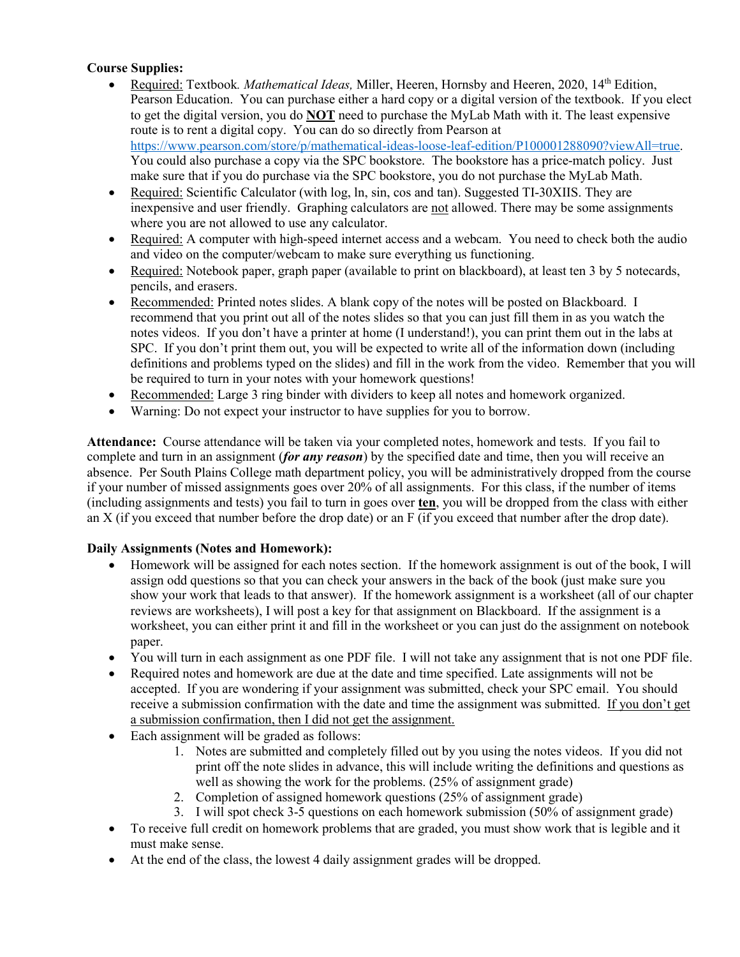## **Course Supplies:**

- Required: Textbook*. Mathematical Ideas,* Miller, Heeren, Hornsby and Heeren, 2020, 14th Edition, Pearson Education. You can purchase either a hard copy or a digital version of the textbook. If you elect to get the digital version, you do **NOT** need to purchase the MyLab Math with it. The least expensive route is to rent a digital copy. You can do so directly from Pearson at [https://www.pearson.com/store/p/mathematical-ideas-loose-leaf-edition/P100001288090?viewAll=true.](https://www.pearson.com/store/p/mathematical-ideas-loose-leaf-edition/P100001288090?viewAll=true) You could also purchase a copy via the SPC bookstore. The bookstore has a price-match policy. Just make sure that if you do purchase via the SPC bookstore, you do not purchase the MyLab Math.
- Required: Scientific Calculator (with log, ln, sin, cos and tan). Suggested TI-30XIIS. They are inexpensive and user friendly. Graphing calculators are not allowed. There may be some assignments where you are not allowed to use any calculator.
- Required: A computer with high-speed internet access and a webcam. You need to check both the audio and video on the computer/webcam to make sure everything us functioning.
- Required: Notebook paper, graph paper (available to print on blackboard), at least ten 3 by 5 notecards, pencils, and erasers.
- Recommended: Printed notes slides. A blank copy of the notes will be posted on Blackboard. I recommend that you print out all of the notes slides so that you can just fill them in as you watch the notes videos. If you don't have a printer at home (I understand!), you can print them out in the labs at SPC. If you don't print them out, you will be expected to write all of the information down (including definitions and problems typed on the slides) and fill in the work from the video. Remember that you will be required to turn in your notes with your homework questions!
- Recommended: Large 3 ring binder with dividers to keep all notes and homework organized.
- Warning: Do not expect your instructor to have supplies for you to borrow.

**Attendance:** Course attendance will be taken via your completed notes, homework and tests. If you fail to complete and turn in an assignment (*for any reason*) by the specified date and time, then you will receive an absence. Per South Plains College math department policy, you will be administratively dropped from the course if your number of missed assignments goes over 20% of all assignments. For this class, if the number of items (including assignments and tests) you fail to turn in goes over **ten**, you will be dropped from the class with either an X (if you exceed that number before the drop date) or an F (if you exceed that number after the drop date).

## **Daily Assignments (Notes and Homework):**

- Homework will be assigned for each notes section. If the homework assignment is out of the book, I will assign odd questions so that you can check your answers in the back of the book (just make sure you show your work that leads to that answer). If the homework assignment is a worksheet (all of our chapter reviews are worksheets), I will post a key for that assignment on Blackboard. If the assignment is a worksheet, you can either print it and fill in the worksheet or you can just do the assignment on notebook paper.
- You will turn in each assignment as one PDF file. I will not take any assignment that is not one PDF file.
- Required notes and homework are due at the date and time specified. Late assignments will not be accepted. If you are wondering if your assignment was submitted, check your SPC email. You should receive a submission confirmation with the date and time the assignment was submitted. If you don't get a submission confirmation, then I did not get the assignment.
- Each assignment will be graded as follows:
	- 1. Notes are submitted and completely filled out by you using the notes videos. If you did not print off the note slides in advance, this will include writing the definitions and questions as well as showing the work for the problems. (25% of assignment grade)
	- 2. Completion of assigned homework questions (25% of assignment grade)
	- 3. I will spot check 3-5 questions on each homework submission (50% of assignment grade)
- To receive full credit on homework problems that are graded, you must show work that is legible and it must make sense.
- At the end of the class, the lowest 4 daily assignment grades will be dropped.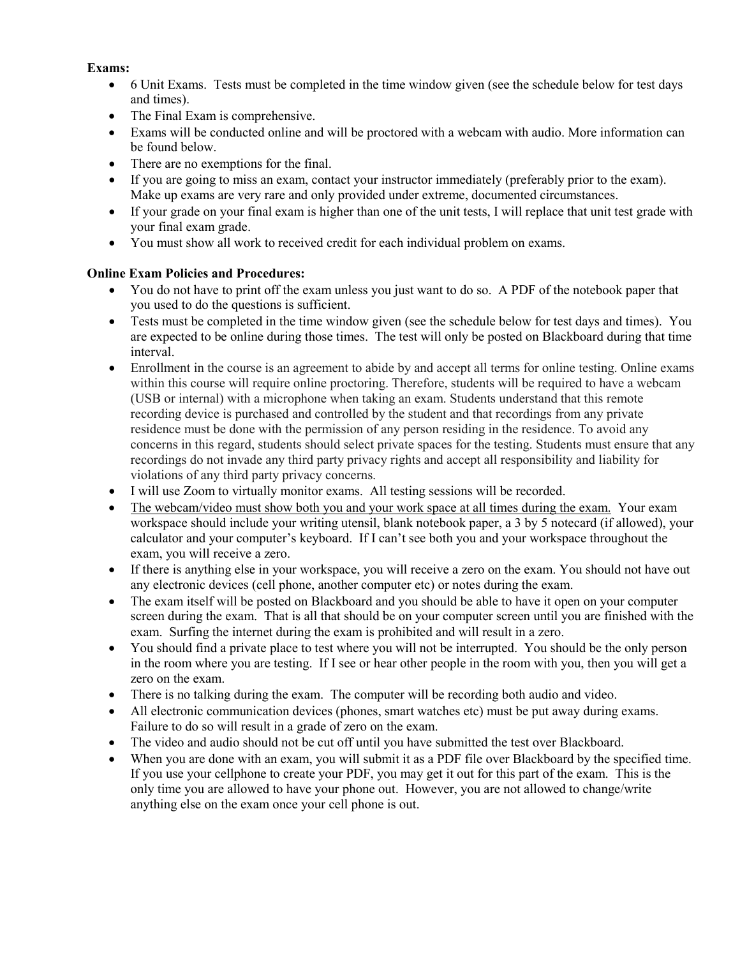#### **Exams:**

- 6 Unit Exams. Tests must be completed in the time window given (see the schedule below for test days and times).
- The Final Exam is comprehensive.
- Exams will be conducted online and will be proctored with a webcam with audio. More information can be found below.
- There are no exemptions for the final.
- If you are going to miss an exam, contact your instructor immediately (preferably prior to the exam). Make up exams are very rare and only provided under extreme, documented circumstances.
- If your grade on your final exam is higher than one of the unit tests, I will replace that unit test grade with your final exam grade.
- You must show all work to received credit for each individual problem on exams.

## **Online Exam Policies and Procedures:**

- You do not have to print off the exam unless you just want to do so. A PDF of the notebook paper that you used to do the questions is sufficient.
- Tests must be completed in the time window given (see the schedule below for test days and times). You are expected to be online during those times. The test will only be posted on Blackboard during that time interval.
- Enrollment in the course is an agreement to abide by and accept all terms for online testing. Online exams within this course will require online proctoring. Therefore, students will be required to have a webcam (USB or internal) with a microphone when taking an exam. Students understand that this remote recording device is purchased and controlled by the student and that recordings from any private residence must be done with the permission of any person residing in the residence. To avoid any concerns in this regard, students should select private spaces for the testing. Students must ensure that any recordings do not invade any third party privacy rights and accept all responsibility and liability for violations of any third party privacy concerns.
- I will use Zoom to virtually monitor exams. All testing sessions will be recorded.
- The webcam/video must show both you and your work space at all times during the exam. Your exam workspace should include your writing utensil, blank notebook paper, a 3 by 5 notecard (if allowed), your calculator and your computer's keyboard. If I can't see both you and your workspace throughout the exam, you will receive a zero.
- If there is anything else in your workspace, you will receive a zero on the exam. You should not have out any electronic devices (cell phone, another computer etc) or notes during the exam.
- The exam itself will be posted on Blackboard and you should be able to have it open on your computer screen during the exam. That is all that should be on your computer screen until you are finished with the exam. Surfing the internet during the exam is prohibited and will result in a zero.
- You should find a private place to test where you will not be interrupted. You should be the only person in the room where you are testing. If I see or hear other people in the room with you, then you will get a zero on the exam.
- There is no talking during the exam. The computer will be recording both audio and video.
- All electronic communication devices (phones, smart watches etc) must be put away during exams. Failure to do so will result in a grade of zero on the exam.
- The video and audio should not be cut off until you have submitted the test over Blackboard.
- When you are done with an exam, you will submit it as a PDF file over Blackboard by the specified time. If you use your cellphone to create your PDF, you may get it out for this part of the exam. This is the only time you are allowed to have your phone out. However, you are not allowed to change/write anything else on the exam once your cell phone is out.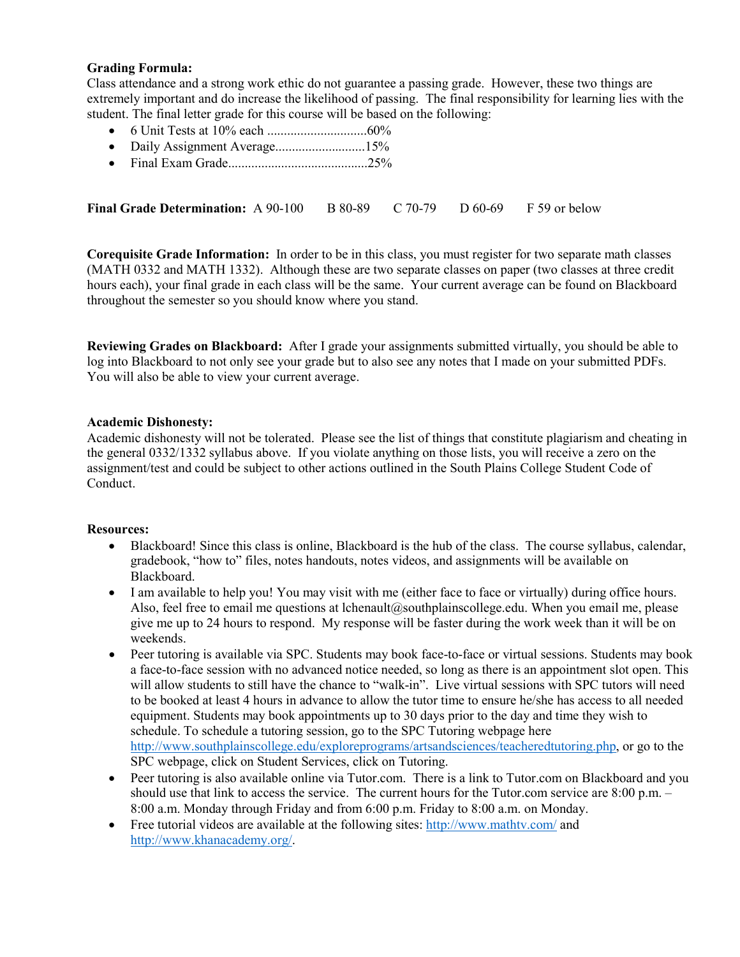#### **Grading Formula:**

Class attendance and a strong work ethic do not guarantee a passing grade. However, these two things are extremely important and do increase the likelihood of passing. The final responsibility for learning lies with the student. The final letter grade for this course will be based on the following:

- 6 Unit Tests at 10% each ..............................60%
- Daily Assignment Average...........................15%
- Final Exam Grade..........................................25%

**Final Grade Determination:** A 90-100 B 80-89 C 70-79 D 60-69 F 59 or below

**Corequisite Grade Information:** In order to be in this class, you must register for two separate math classes (MATH 0332 and MATH 1332). Although these are two separate classes on paper (two classes at three credit hours each), your final grade in each class will be the same. Your current average can be found on Blackboard throughout the semester so you should know where you stand.

**Reviewing Grades on Blackboard:** After I grade your assignments submitted virtually, you should be able to log into Blackboard to not only see your grade but to also see any notes that I made on your submitted PDFs. You will also be able to view your current average.

#### **Academic Dishonesty:**

Academic dishonesty will not be tolerated. Please see the list of things that constitute plagiarism and cheating in the general 0332/1332 syllabus above. If you violate anything on those lists, you will receive a zero on the assignment/test and could be subject to other actions outlined in the South Plains College Student Code of Conduct.

#### **Resources:**

- Blackboard! Since this class is online, Blackboard is the hub of the class. The course syllabus, calendar, gradebook, "how to" files, notes handouts, notes videos, and assignments will be available on Blackboard.
- I am available to help you! You may visit with me (either face to face or virtually) during office hours. Also, feel free to email me questions at lchenault@southplainscollege.edu. When you email me, please give me up to 24 hours to respond. My response will be faster during the work week than it will be on weekends.
- Peer tutoring is available via SPC. Students may book face-to-face or virtual sessions. Students may book a face-to-face session with no advanced notice needed, so long as there is an appointment slot open. This will allow students to still have the chance to "walk-in". Live virtual sessions with SPC tutors will need to be booked at least 4 hours in advance to allow the tutor time to ensure he/she has access to all needed equipment. Students may book appointments up to 30 days prior to the day and time they wish to schedule. To schedule a tutoring session, go to the SPC Tutoring webpage here [http://www.southplainscollege.edu/exploreprograms/artsandsciences/teacheredtutoring.php,](http://www.southplainscollege.edu/exploreprograms/artsandsciences/teacheredtutoring.php) or go to the SPC webpage, click on Student Services, click on Tutoring.
- Peer tutoring is also available online via Tutor.com. There is a link to Tutor.com on Blackboard and you should use that link to access the service. The current hours for the Tutor.com service are 8:00 p.m. – 8:00 a.m. Monday through Friday and from 6:00 p.m. Friday to 8:00 a.m. on Monday.
- Free tutorial videos are available at the following sites[: http://www.mathtv.com/](http://www.mathtv.com/) and [http://www.khanacademy.org/.](http://www.khanacademy.org/)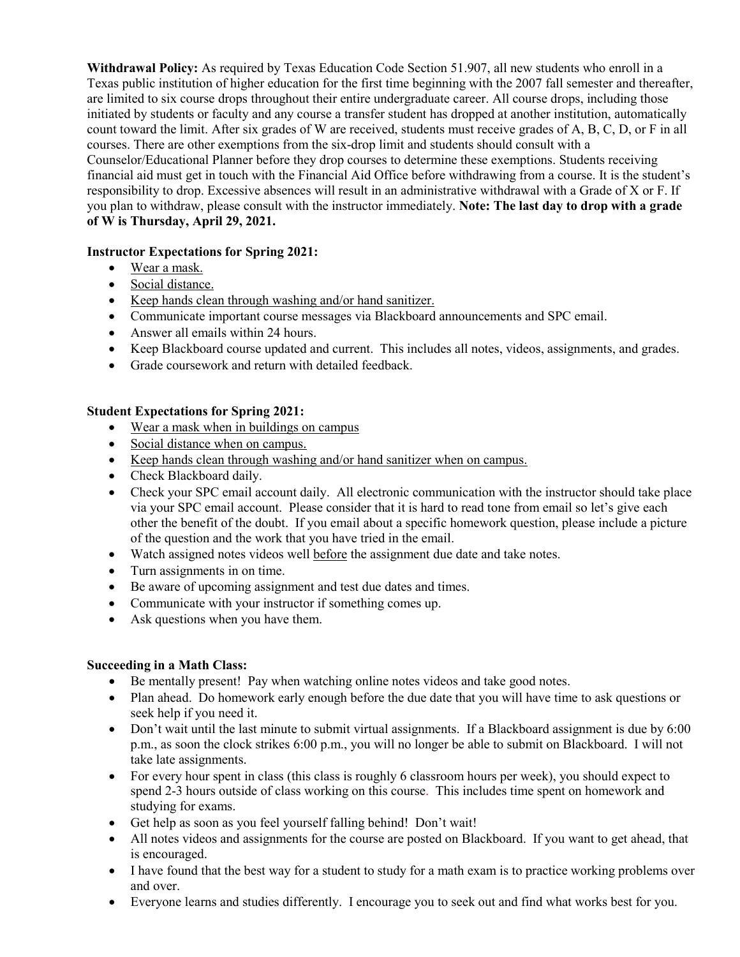**Withdrawal Policy:** As required by Texas Education Code Section 51.907, all new students who enroll in a Texas public institution of higher education for the first time beginning with the 2007 fall semester and thereafter, are limited to six course drops throughout their entire undergraduate career. All course drops, including those initiated by students or faculty and any course a transfer student has dropped at another institution, automatically count toward the limit. After six grades of W are received, students must receive grades of A, B, C, D, or F in all courses. There are other exemptions from the six-drop limit and students should consult with a Counselor/Educational Planner before they drop courses to determine these exemptions. Students receiving financial aid must get in touch with the Financial Aid Office before withdrawing from a course. It is the student's responsibility to drop. Excessive absences will result in an administrative withdrawal with a Grade of X or F. If you plan to withdraw, please consult with the instructor immediately. **Note: The last day to drop with a grade of W is Thursday, April 29, 2021.** 

## **Instructor Expectations for Spring 2021:**

- Wear a mask.
- Social distance.
- Keep hands clean through washing and/or hand sanitizer.
- Communicate important course messages via Blackboard announcements and SPC email.
- Answer all emails within 24 hours.
- Keep Blackboard course updated and current. This includes all notes, videos, assignments, and grades.
- Grade coursework and return with detailed feedback.

#### **Student Expectations for Spring 2021:**

- Wear a mask when in buildings on campus
- Social distance when on campus.
- Keep hands clean through washing and/or hand sanitizer when on campus.
- Check Blackboard daily.
- Check your SPC email account daily. All electronic communication with the instructor should take place via your SPC email account. Please consider that it is hard to read tone from email so let's give each other the benefit of the doubt. If you email about a specific homework question, please include a picture of the question and the work that you have tried in the email.
- Watch assigned notes videos well before the assignment due date and take notes.
- Turn assignments in on time.
- Be aware of upcoming assignment and test due dates and times.
- Communicate with your instructor if something comes up.
- Ask questions when you have them.

#### **Succeeding in a Math Class:**

- Be mentally present! Pay when watching online notes videos and take good notes.
- Plan ahead. Do homework early enough before the due date that you will have time to ask questions or seek help if you need it.
- Don't wait until the last minute to submit virtual assignments. If a Blackboard assignment is due by 6:00 p.m., as soon the clock strikes 6:00 p.m., you will no longer be able to submit on Blackboard. I will not take late assignments.
- For every hour spent in class (this class is roughly 6 classroom hours per week), you should expect to spend 2-3 hours outside of class working on this course. This includes time spent on homework and studying for exams.
- Get help as soon as you feel yourself falling behind! Don't wait!
- All notes videos and assignments for the course are posted on Blackboard. If you want to get ahead, that is encouraged.
- I have found that the best way for a student to study for a math exam is to practice working problems over and over.
- Everyone learns and studies differently. I encourage you to seek out and find what works best for you.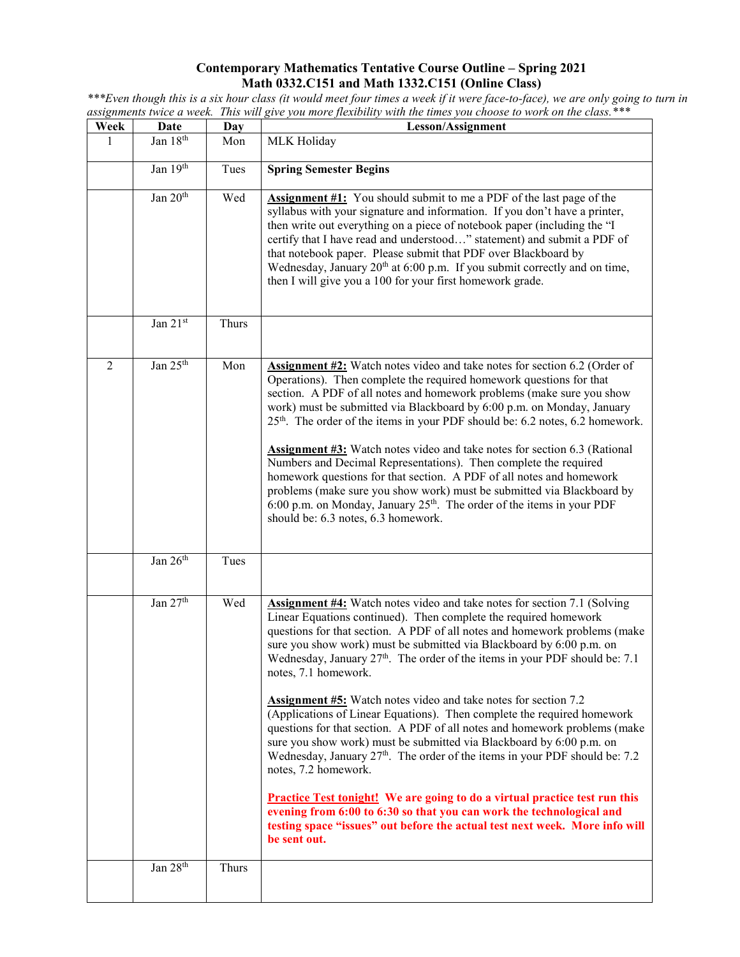#### **Contemporary Mathematics Tentative Course Outline – Spring 2021 Math 0332.C151 and Math 1332.C151 (Online Class)**

**Week Date Day Lesson/Assignment** 1 Jan  $18^{th}$  Mon MLK Holiday Jan 19<sup>th</sup> Tues **Spring Semester Begins** Jan 20<sup>th</sup> Wed **Assignment #1:** You should submit to me a PDF of the last page of the syllabus with your signature and information. If you don't have a printer, then write out everything on a piece of notebook paper (including the "I certify that I have read and understood…" statement) and submit a PDF of that notebook paper. Please submit that PDF over Blackboard by Wednesday, January  $20<sup>th</sup>$  at 6:00 p.m. If you submit correctly and on time, then I will give you a 100 for your first homework grade. Jan  $21^{st}$  Thurs 2 **Jan 25<sup>th</sup> Mon** Assignment #2: Watch notes video and take notes for section 6.2 (Order of Operations). Then complete the required homework questions for that section. A PDF of all notes and homework problems (make sure you show work) must be submitted via Blackboard by 6:00 p.m. on Monday, January 25<sup>th</sup>. The order of the items in your PDF should be: 6.2 notes, 6.2 homework. **Assignment #3:** Watch notes video and take notes for section 6.3 (Rational Numbers and Decimal Representations). Then complete the required homework questions for that section. A PDF of all notes and homework problems (make sure you show work) must be submitted via Blackboard by 6:00 p.m. on Monday, January  $25<sup>th</sup>$ . The order of the items in your PDF should be: 6.3 notes, 6.3 homework. Jan  $26<sup>th</sup>$  Tues Jan 27<sup>th</sup> Wed **Assignment #4:** Watch notes video and take notes for section 7.1 (Solving Linear Equations continued). Then complete the required homework questions for that section. A PDF of all notes and homework problems (make sure you show work) must be submitted via Blackboard by 6:00 p.m. on Wednesday, January  $27<sup>th</sup>$ . The order of the items in your PDF should be: 7.1 notes, 7.1 homework. **Assignment #5:** Watch notes video and take notes for section 7.2 (Applications of Linear Equations). Then complete the required homework questions for that section. A PDF of all notes and homework problems (make sure you show work) must be submitted via Blackboard by 6:00 p.m. on Wednesday, January  $27<sup>th</sup>$ . The order of the items in your PDF should be: 7.2 notes, 7.2 homework. **Practice Test tonight! We are going to do a virtual practice test run this evening from 6:00 to 6:30 so that you can work the technological and testing space "issues" out before the actual test next week. More info will be sent out.**  Jan  $28<sup>th</sup>$  Thurs

*\*\*\*Even though this is a six hour class (it would meet four times a week if it were face-to-face), we are only going to turn in assignments twice a week. This will give you more flexibility with the times you choose to work on the class.\*\*\**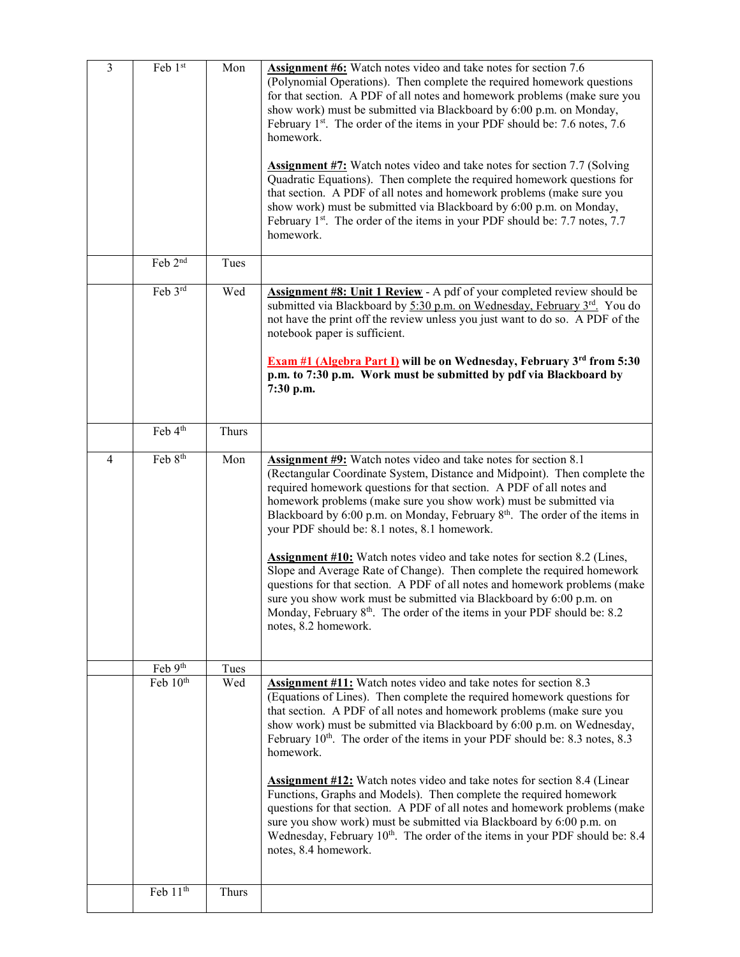| $\overline{3}$ | Feb 1st              | Mon   | <b>Assignment #6:</b> Watch notes video and take notes for section 7.6<br>(Polynomial Operations). Then complete the required homework questions<br>for that section. A PDF of all notes and homework problems (make sure you<br>show work) must be submitted via Blackboard by 6:00 p.m. on Monday,<br>February 1 <sup>st</sup> . The order of the items in your PDF should be: 7.6 notes, 7.6<br>homework.<br><b>Assignment #7:</b> Watch notes video and take notes for section 7.7 (Solving<br>Quadratic Equations). Then complete the required homework questions for<br>that section. A PDF of all notes and homework problems (make sure you<br>show work) must be submitted via Blackboard by 6:00 p.m. on Monday,<br>February 1 <sup>st</sup> . The order of the items in your PDF should be: 7.7 notes, 7.7<br>homework.                                            |
|----------------|----------------------|-------|-------------------------------------------------------------------------------------------------------------------------------------------------------------------------------------------------------------------------------------------------------------------------------------------------------------------------------------------------------------------------------------------------------------------------------------------------------------------------------------------------------------------------------------------------------------------------------------------------------------------------------------------------------------------------------------------------------------------------------------------------------------------------------------------------------------------------------------------------------------------------------|
|                | Feb $2nd$            | Tues  |                                                                                                                                                                                                                                                                                                                                                                                                                                                                                                                                                                                                                                                                                                                                                                                                                                                                               |
|                | Feb 3rd              | Wed   | <b>Assignment #8: Unit 1 Review</b> - A pdf of your completed review should be<br>submitted via Blackboard by 5:30 p.m. on Wednesday, February 3rd. You do<br>not have the print off the review unless you just want to do so. A PDF of the<br>notebook paper is sufficient.<br><b>Exam #1 (Algebra Part I)</b> will be on Wednesday, February $3^{rd}$ from $5:30$<br>p.m. to 7:30 p.m. Work must be submitted by pdf via Blackboard by<br>7:30 p.m.                                                                                                                                                                                                                                                                                                                                                                                                                         |
|                | Feb 4 <sup>th</sup>  | Thurs |                                                                                                                                                                                                                                                                                                                                                                                                                                                                                                                                                                                                                                                                                                                                                                                                                                                                               |
| 4              | Feb 8 <sup>th</sup>  | Mon   | <b>Assignment #9:</b> Watch notes video and take notes for section 8.1<br>(Rectangular Coordinate System, Distance and Midpoint). Then complete the<br>required homework questions for that section. A PDF of all notes and<br>homework problems (make sure you show work) must be submitted via<br>Blackboard by 6:00 p.m. on Monday, February 8 <sup>th</sup> . The order of the items in<br>your PDF should be: 8.1 notes, 8.1 homework.<br><b>Assignment #10:</b> Watch notes video and take notes for section 8.2 (Lines,<br>Slope and Average Rate of Change). Then complete the required homework<br>questions for that section. A PDF of all notes and homework problems (make<br>sure vou show work must be submitted via Blackboard by 6:00 p.m. on<br>Monday, February 8 <sup>th</sup> . The order of the items in your PDF should be: 8.2<br>notes, 8.2 homework. |
|                | Feb 9th              | Tues  |                                                                                                                                                                                                                                                                                                                                                                                                                                                                                                                                                                                                                                                                                                                                                                                                                                                                               |
|                | Feb 10 <sup>th</sup> | Wed   | <b>Assignment #11:</b> Watch notes video and take notes for section 8.3<br>(Equations of Lines). Then complete the required homework questions for<br>that section. A PDF of all notes and homework problems (make sure you<br>show work) must be submitted via Blackboard by 6:00 p.m. on Wednesday,<br>February 10 <sup>th</sup> . The order of the items in your PDF should be: 8.3 notes, 8.3<br>homework.<br><b>Assignment #12:</b> Watch notes video and take notes for section 8.4 (Linear<br>Functions, Graphs and Models). Then complete the required homework<br>questions for that section. A PDF of all notes and homework problems (make<br>sure you show work) must be submitted via Blackboard by 6:00 p.m. on<br>Wednesday, February 10 <sup>th</sup> . The order of the items in your PDF should be: 8.4<br>notes, 8.4 homework.                             |
|                | Feb 11 <sup>th</sup> | Thurs |                                                                                                                                                                                                                                                                                                                                                                                                                                                                                                                                                                                                                                                                                                                                                                                                                                                                               |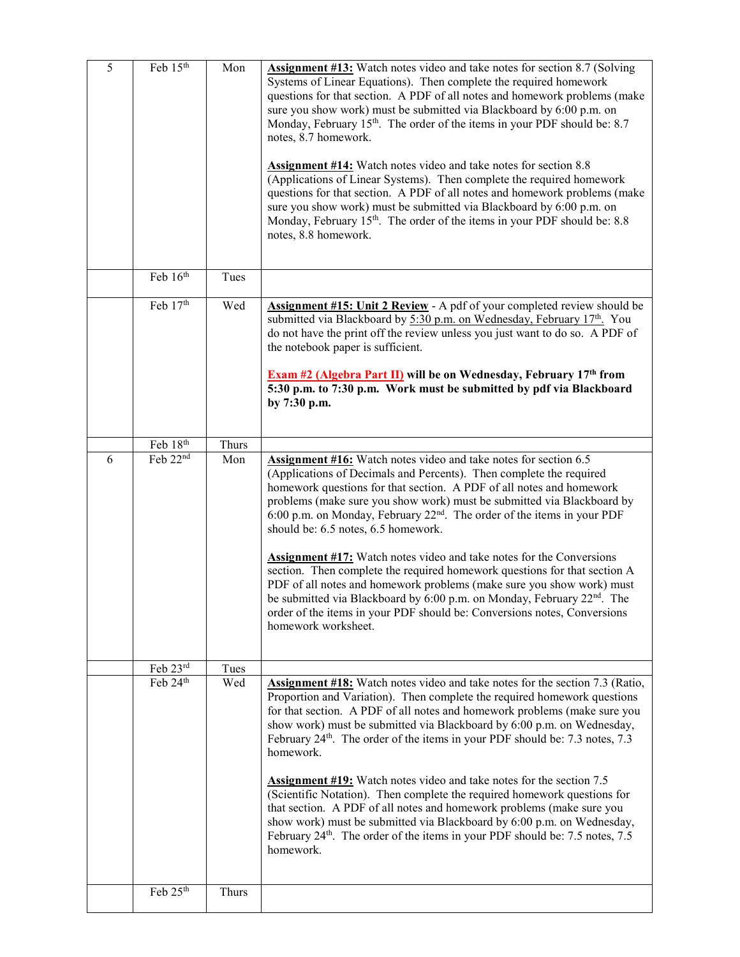| 5 | Feb 15th | Mon   | <b>Assignment #13:</b> Watch notes video and take notes for section 8.7 (Solving<br>Systems of Linear Equations). Then complete the required homework<br>questions for that section. A PDF of all notes and homework problems (make<br>sure you show work) must be submitted via Blackboard by 6:00 p.m. on<br>Monday, February 15 <sup>th</sup> . The order of the items in your PDF should be: 8.7<br>notes, 8.7 homework.<br><b>Assignment #14:</b> Watch notes video and take notes for section 8.8<br>(Applications of Linear Systems). Then complete the required homework<br>questions for that section. A PDF of all notes and homework problems (make<br>sure you show work) must be submitted via Blackboard by 6:00 p.m. on<br>Monday, February 15th. The order of the items in your PDF should be: 8.8<br>notes, 8.8 homework.                    |
|---|----------|-------|---------------------------------------------------------------------------------------------------------------------------------------------------------------------------------------------------------------------------------------------------------------------------------------------------------------------------------------------------------------------------------------------------------------------------------------------------------------------------------------------------------------------------------------------------------------------------------------------------------------------------------------------------------------------------------------------------------------------------------------------------------------------------------------------------------------------------------------------------------------|
|   | Feb 16th | Tues  |                                                                                                                                                                                                                                                                                                                                                                                                                                                                                                                                                                                                                                                                                                                                                                                                                                                               |
|   | Feb 17th | Wed   | Assignment #15: Unit 2 Review - A pdf of your completed review should be<br>submitted via Blackboard by 5:30 p.m. on Wednesday, February 17th. You<br>do not have the print off the review unless you just want to do so. A PDF of<br>the notebook paper is sufficient.<br><b>Exam #2 (Algebra Part II)</b> will be on Wednesday, February 17th from<br>5:30 p.m. to 7:30 p.m. Work must be submitted by pdf via Blackboard<br>by 7:30 p.m.                                                                                                                                                                                                                                                                                                                                                                                                                   |
|   | Feb 18th | Thurs |                                                                                                                                                                                                                                                                                                                                                                                                                                                                                                                                                                                                                                                                                                                                                                                                                                                               |
| 6 | Feb 22nd | Mon   | <b>Assignment #16:</b> Watch notes video and take notes for section 6.5<br>(Applications of Decimals and Percents). Then complete the required<br>homework questions for that section. A PDF of all notes and homework<br>problems (make sure you show work) must be submitted via Blackboard by<br>6:00 p.m. on Monday, February 22 <sup>nd</sup> . The order of the items in your PDF<br>should be: 6.5 notes, 6.5 homework.<br><b>Assignment #17:</b> Watch notes video and take notes for the Conversions<br>section. Then complete the required homework questions for that section A<br>PDF of all notes and homework problems (make sure you show work) must<br>be submitted via Blackboard by 6:00 p.m. on Monday, February 22 <sup>nd</sup> . The<br>order of the items in your PDF should be: Conversions notes, Conversions<br>homework worksheet. |
|   | Feb 23rd | Tues  |                                                                                                                                                                                                                                                                                                                                                                                                                                                                                                                                                                                                                                                                                                                                                                                                                                                               |
|   | Feb 24th | Wed   | Assignment #18: Watch notes video and take notes for the section 7.3 (Ratio,<br>Proportion and Variation). Then complete the required homework questions<br>for that section. A PDF of all notes and homework problems (make sure you<br>show work) must be submitted via Blackboard by 6:00 p.m. on Wednesday,<br>February 24 <sup>th</sup> . The order of the items in your PDF should be: 7.3 notes, 7.3<br>homework.<br><b>Assignment #19:</b> Watch notes video and take notes for the section 7.5<br>(Scientific Notation). Then complete the required homework questions for<br>that section. A PDF of all notes and homework problems (make sure you<br>show work) must be submitted via Blackboard by 6:00 p.m. on Wednesday,<br>February 24 <sup>th</sup> . The order of the items in your PDF should be: 7.5 notes, 7.5<br>homework.               |
|   | Feb 25th | Thurs |                                                                                                                                                                                                                                                                                                                                                                                                                                                                                                                                                                                                                                                                                                                                                                                                                                                               |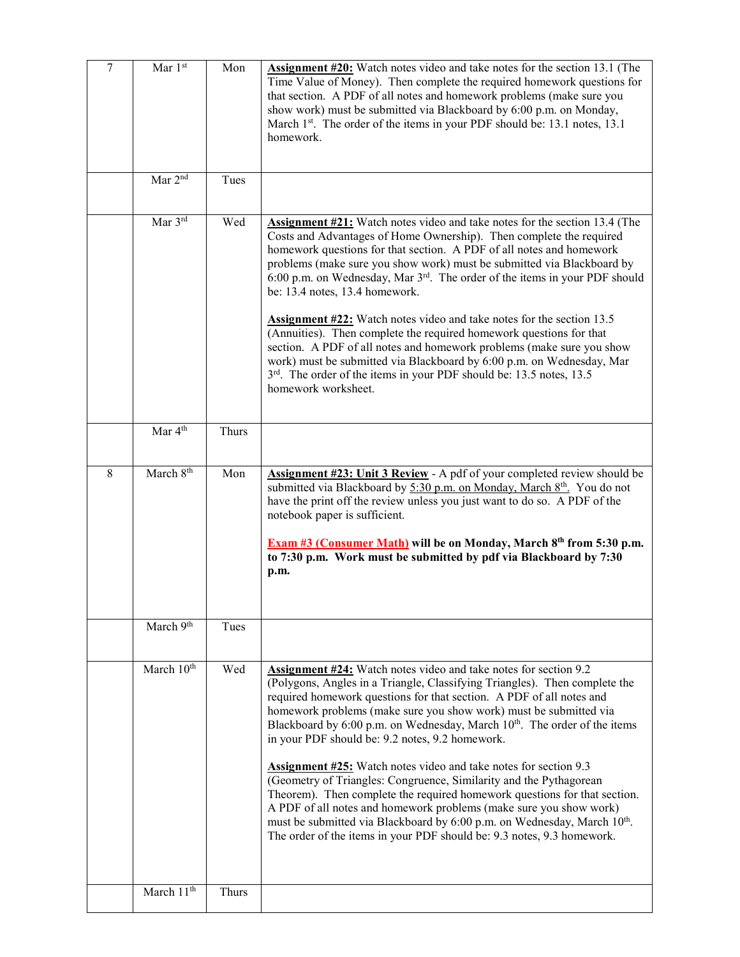| $\overline{7}$ | Mar $1st$              | Mon   | Assignment #20: Watch notes video and take notes for the section 13.1 (The<br>Time Value of Money). Then complete the required homework questions for<br>that section. A PDF of all notes and homework problems (make sure you<br>show work) must be submitted via Blackboard by 6:00 p.m. on Monday,<br>March 1 <sup>st</sup> . The order of the items in your PDF should be: 13.1 notes, 13.1<br>homework.                                                                                                                                                                                                                                                                                                                                                                                                                                                                                                         |
|----------------|------------------------|-------|----------------------------------------------------------------------------------------------------------------------------------------------------------------------------------------------------------------------------------------------------------------------------------------------------------------------------------------------------------------------------------------------------------------------------------------------------------------------------------------------------------------------------------------------------------------------------------------------------------------------------------------------------------------------------------------------------------------------------------------------------------------------------------------------------------------------------------------------------------------------------------------------------------------------|
|                | Mar 2 <sup>nd</sup>    | Tues  |                                                                                                                                                                                                                                                                                                                                                                                                                                                                                                                                                                                                                                                                                                                                                                                                                                                                                                                      |
|                | Mar 3rd                | Wed   | <b>Assignment #21:</b> Watch notes video and take notes for the section 13.4 (The<br>Costs and Advantages of Home Ownership). Then complete the required<br>homework questions for that section. A PDF of all notes and homework<br>problems (make sure you show work) must be submitted via Blackboard by<br>6:00 p.m. on Wednesday, Mar 3 <sup>rd</sup> . The order of the items in your PDF should<br>be: 13.4 notes, 13.4 homework.<br><b>Assignment #22:</b> Watch notes video and take notes for the section 13.5<br>(Annuities). Then complete the required homework questions for that<br>section. A PDF of all notes and homework problems (make sure you show<br>work) must be submitted via Blackboard by 6:00 p.m. on Wednesday, Mar<br>3 <sup>rd</sup> . The order of the items in your PDF should be: 13.5 notes, 13.5<br>homework worksheet.                                                          |
|                | Mar 4 <sup>th</sup>    | Thurs |                                                                                                                                                                                                                                                                                                                                                                                                                                                                                                                                                                                                                                                                                                                                                                                                                                                                                                                      |
| 8              | March 8 <sup>th</sup>  | Mon   | <b>Assignment #23: Unit 3 Review</b> - A pdf of your completed review should be<br>submitted via Blackboard by 5:30 p.m. on Monday, March 8th. You do not<br>have the print off the review unless you just want to do so. A PDF of the<br>notebook paper is sufficient.<br>Exam #3 (Consumer Math) will be on Monday, March 8th from 5:30 p.m.<br>to 7:30 p.m. Work must be submitted by pdf via Blackboard by 7:30<br>p.m.                                                                                                                                                                                                                                                                                                                                                                                                                                                                                          |
|                | March 9th              | Tues  |                                                                                                                                                                                                                                                                                                                                                                                                                                                                                                                                                                                                                                                                                                                                                                                                                                                                                                                      |
|                | March 10 <sup>th</sup> | Wed   | <b>Assignment #24:</b> Watch notes video and take notes for section 9.2<br>(Polygons, Angles in a Triangle, Classifying Triangles). Then complete the<br>required homework questions for that section. A PDF of all notes and<br>homework problems (make sure you show work) must be submitted via<br>Blackboard by 6:00 p.m. on Wednesday, March 10 <sup>th</sup> . The order of the items<br>in your PDF should be: 9.2 notes, 9.2 homework.<br><b>Assignment #25:</b> Watch notes video and take notes for section 9.3<br>(Geometry of Triangles: Congruence, Similarity and the Pythagorean<br>Theorem). Then complete the required homework questions for that section.<br>A PDF of all notes and homework problems (make sure you show work)<br>must be submitted via Blackboard by 6:00 p.m. on Wednesday, March 10 <sup>th</sup> .<br>The order of the items in your PDF should be: 9.3 notes, 9.3 homework. |
|                | March 11 <sup>th</sup> | Thurs |                                                                                                                                                                                                                                                                                                                                                                                                                                                                                                                                                                                                                                                                                                                                                                                                                                                                                                                      |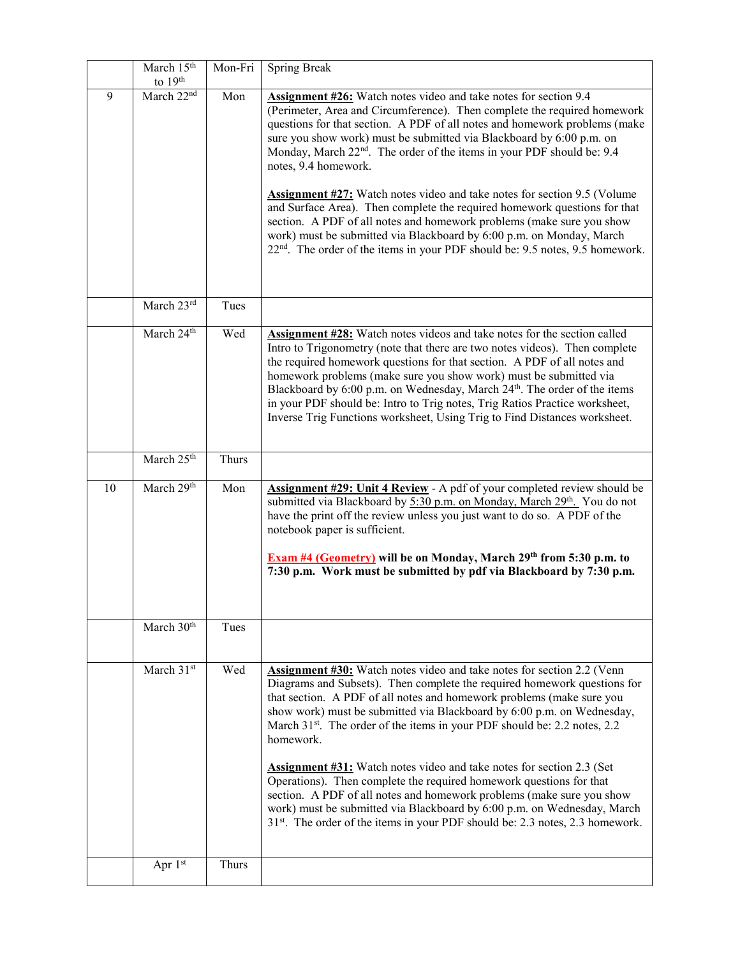|    | March 15th<br>to $19th$ | Mon-Fri      | <b>Spring Break</b>                                                                                                                                                                                                                                                                                                                                                                                                                                                                                                                                                                                                                                                                                                                                                                                                            |
|----|-------------------------|--------------|--------------------------------------------------------------------------------------------------------------------------------------------------------------------------------------------------------------------------------------------------------------------------------------------------------------------------------------------------------------------------------------------------------------------------------------------------------------------------------------------------------------------------------------------------------------------------------------------------------------------------------------------------------------------------------------------------------------------------------------------------------------------------------------------------------------------------------|
| 9  | March 22 <sup>nd</sup>  | Mon          | Assignment #26: Watch notes video and take notes for section 9.4<br>(Perimeter, Area and Circumference). Then complete the required homework<br>questions for that section. A PDF of all notes and homework problems (make<br>sure you show work) must be submitted via Blackboard by 6:00 p.m. on<br>Monday, March 22 <sup>nd</sup> . The order of the items in your PDF should be: 9.4<br>notes, 9.4 homework.<br><b>Assignment #27:</b> Watch notes video and take notes for section 9.5 (Volume<br>and Surface Area). Then complete the required homework questions for that<br>section. A PDF of all notes and homework problems (make sure you show<br>work) must be submitted via Blackboard by 6:00 p.m. on Monday, March<br>22 <sup>nd</sup> . The order of the items in your PDF should be: 9.5 notes, 9.5 homework. |
|    | March 23rd              | Tues         |                                                                                                                                                                                                                                                                                                                                                                                                                                                                                                                                                                                                                                                                                                                                                                                                                                |
|    | March 24 <sup>th</sup>  | Wed          | <b>Assignment #28:</b> Watch notes videos and take notes for the section called<br>Intro to Trigonometry (note that there are two notes videos). Then complete<br>the required homework questions for that section. A PDF of all notes and<br>homework problems (make sure you show work) must be submitted via<br>Blackboard by 6:00 p.m. on Wednesday, March 24 <sup>th</sup> . The order of the items<br>in your PDF should be: Intro to Trig notes, Trig Ratios Practice worksheet,<br>Inverse Trig Functions worksheet, Using Trig to Find Distances worksheet.                                                                                                                                                                                                                                                           |
|    | March 25th              | <b>Thurs</b> |                                                                                                                                                                                                                                                                                                                                                                                                                                                                                                                                                                                                                                                                                                                                                                                                                                |
| 10 | March 29th              | Mon          | Assignment #29: Unit 4 Review - A pdf of your completed review should be<br>submitted via Blackboard by 5:30 p.m. on Monday, March 29th. You do not<br>have the print off the review unless you just want to do so. A PDF of the<br>notebook paper is sufficient.<br><b>Exam #4 (Geometry)</b> will be on Monday, March 29th from 5:30 p.m. to<br>7:30 p.m. Work must be submitted by pdf via Blackboard by 7:30 p.m.                                                                                                                                                                                                                                                                                                                                                                                                          |
|    | March 30 <sup>th</sup>  | Tues         |                                                                                                                                                                                                                                                                                                                                                                                                                                                                                                                                                                                                                                                                                                                                                                                                                                |
|    | March 31st              | Wed          | <b>Assignment #30:</b> Watch notes video and take notes for section 2.2 (Venn<br>Diagrams and Subsets). Then complete the required homework questions for<br>that section. A PDF of all notes and homework problems (make sure you<br>show work) must be submitted via Blackboard by 6:00 p.m. on Wednesday,<br>March 31 <sup>st</sup> . The order of the items in your PDF should be: 2.2 notes, 2.2<br>homework.<br><b>Assignment #31:</b> Watch notes video and take notes for section 2.3 (Set<br>Operations). Then complete the required homework questions for that<br>section. A PDF of all notes and homework problems (make sure you show<br>work) must be submitted via Blackboard by 6:00 p.m. on Wednesday, March<br>31 <sup>st</sup> . The order of the items in your PDF should be: 2.3 notes, 2.3 homework.     |
|    | Apr 1st                 | Thurs        |                                                                                                                                                                                                                                                                                                                                                                                                                                                                                                                                                                                                                                                                                                                                                                                                                                |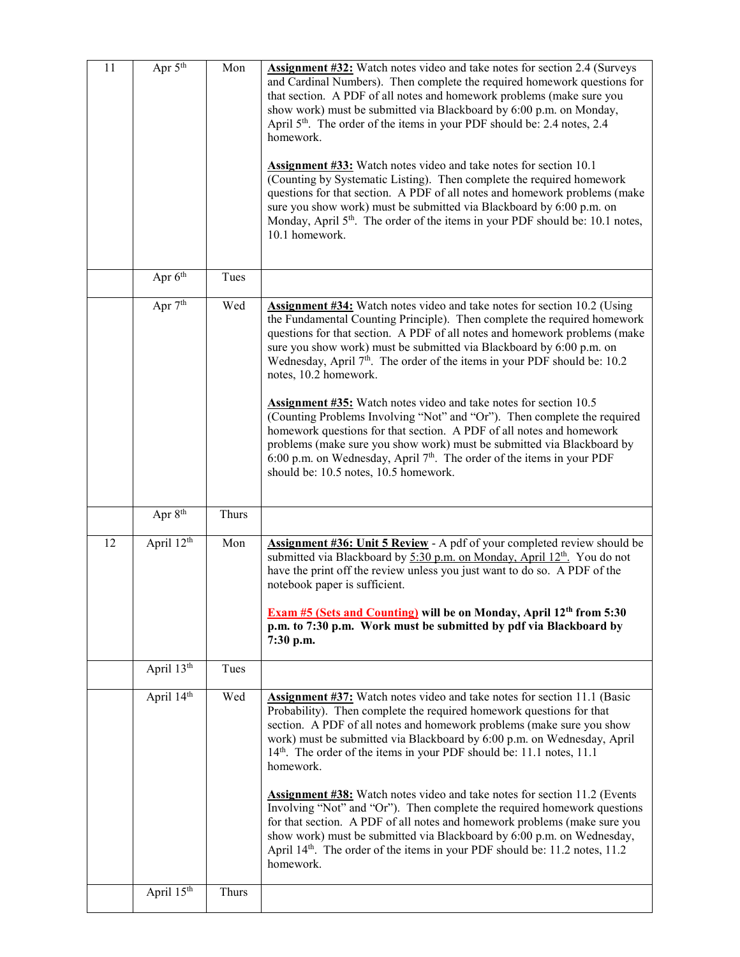| 11 | Apr $\overline{5^{th}}$ | Mon   | Assignment #32: Watch notes video and take notes for section 2.4 (Surveys<br>and Cardinal Numbers). Then complete the required homework questions for<br>that section. A PDF of all notes and homework problems (make sure you<br>show work) must be submitted via Blackboard by 6:00 p.m. on Monday,<br>April 5 <sup>th</sup> . The order of the items in your PDF should be: 2.4 notes, 2.4<br>homework.<br><b>Assignment #33:</b> Watch notes video and take notes for section 10.1<br>(Counting by Systematic Listing). Then complete the required homework<br>questions for that section. A PDF of all notes and homework problems (make<br>sure you show work) must be submitted via Blackboard by 6:00 p.m. on<br>Monday, April 5 <sup>th</sup> . The order of the items in your PDF should be: 10.1 notes,<br>10.1 homework.                            |
|----|-------------------------|-------|-----------------------------------------------------------------------------------------------------------------------------------------------------------------------------------------------------------------------------------------------------------------------------------------------------------------------------------------------------------------------------------------------------------------------------------------------------------------------------------------------------------------------------------------------------------------------------------------------------------------------------------------------------------------------------------------------------------------------------------------------------------------------------------------------------------------------------------------------------------------|
|    | Apr $6th$               | Tues  |                                                                                                                                                                                                                                                                                                                                                                                                                                                                                                                                                                                                                                                                                                                                                                                                                                                                 |
|    | Apr 7 <sup>th</sup>     | Wed   | <b>Assignment #34:</b> Watch notes video and take notes for section 10.2 (Using<br>the Fundamental Counting Principle). Then complete the required homework<br>questions for that section. A PDF of all notes and homework problems (make<br>sure you show work) must be submitted via Blackboard by 6:00 p.m. on<br>Wednesday, April 7 <sup>th</sup> . The order of the items in your PDF should be: 10.2<br>notes, 10.2 homework.<br><b>Assignment #35:</b> Watch notes video and take notes for section 10.5<br>(Counting Problems Involving "Not" and "Or"). Then complete the required<br>homework questions for that section. A PDF of all notes and homework<br>problems (make sure you show work) must be submitted via Blackboard by<br>6:00 p.m. on Wednesday, April 7th. The order of the items in your PDF<br>should be: 10.5 notes, 10.5 homework. |
|    | Apr 8 <sup>th</sup>     | Thurs |                                                                                                                                                                                                                                                                                                                                                                                                                                                                                                                                                                                                                                                                                                                                                                                                                                                                 |
| 12 | April 12 <sup>th</sup>  | Mon   | Assignment #36: Unit 5 Review - A pdf of your completed review should be<br>submitted via Blackboard by 5:30 p.m. on Monday, April 12 <sup>th</sup> . You do not<br>have the print off the review unless you just want to do so. A PDF of the<br>notebook paper is sufficient.<br>Exam #5 (Sets and Counting) will be on Monday, April 12th from 5:30<br>p.m. to 7:30 p.m. Work must be submitted by pdf via Blackboard by<br>7:30 p.m.                                                                                                                                                                                                                                                                                                                                                                                                                         |
|    | April 13th              | Tues  |                                                                                                                                                                                                                                                                                                                                                                                                                                                                                                                                                                                                                                                                                                                                                                                                                                                                 |
|    | April 14th              | Wed   | <b>Assignment #37:</b> Watch notes video and take notes for section 11.1 (Basic<br>Probability). Then complete the required homework questions for that<br>section. A PDF of all notes and homework problems (make sure you show<br>work) must be submitted via Blackboard by 6:00 p.m. on Wednesday, April<br>14th. The order of the items in your PDF should be: 11.1 notes, 11.1<br>homework.<br><b>Assignment #38:</b> Watch notes video and take notes for section 11.2 (Events<br>Involving "Not" and "Or"). Then complete the required homework questions<br>for that section. A PDF of all notes and homework problems (make sure you<br>show work) must be submitted via Blackboard by 6:00 p.m. on Wednesday,<br>April 14 <sup>th</sup> . The order of the items in your PDF should be: 11.2 notes, 11.2<br>homework.                                 |
|    | April $15^{th}$         | Thurs |                                                                                                                                                                                                                                                                                                                                                                                                                                                                                                                                                                                                                                                                                                                                                                                                                                                                 |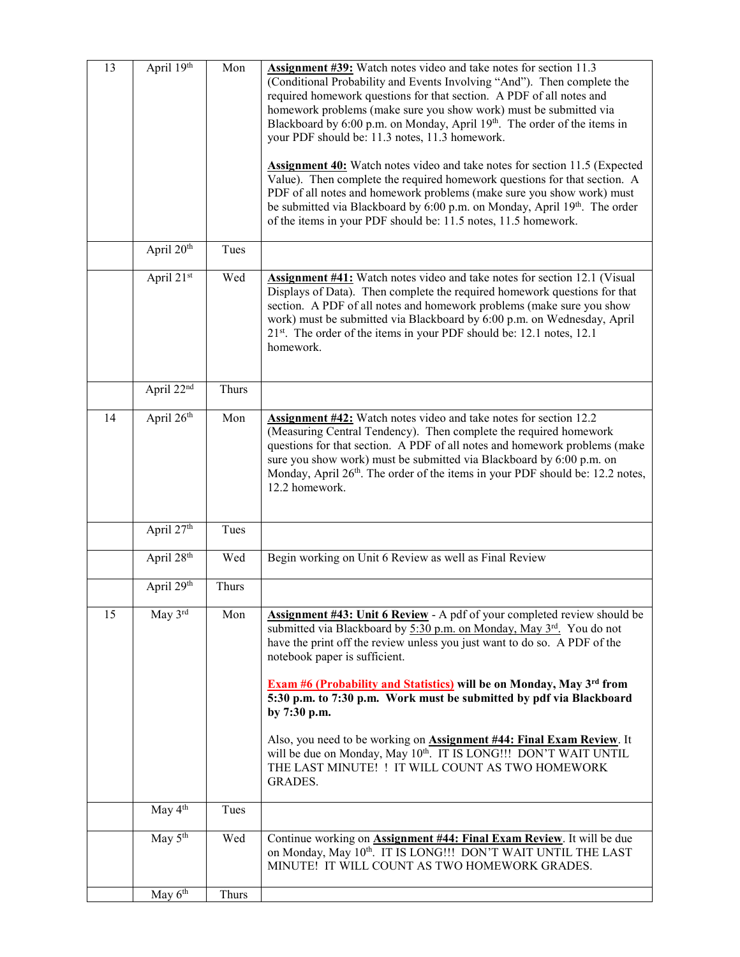| 13 | April 19th             | Mon   | Assignment #39: Watch notes video and take notes for section 11.3<br>(Conditional Probability and Events Involving "And"). Then complete the<br>required homework questions for that section. A PDF of all notes and<br>homework problems (make sure you show work) must be submitted via<br>Blackboard by 6:00 p.m. on Monday, April 19th. The order of the items in<br>your PDF should be: 11.3 notes, 11.3 homework.<br><b>Assignment 40:</b> Watch notes video and take notes for section 11.5 (Expected<br>Value). Then complete the required homework questions for that section. A<br>PDF of all notes and homework problems (make sure you show work) must<br>be submitted via Blackboard by 6:00 p.m. on Monday, April 19th. The order<br>of the items in your PDF should be: 11.5 notes, 11.5 homework. |
|----|------------------------|-------|-------------------------------------------------------------------------------------------------------------------------------------------------------------------------------------------------------------------------------------------------------------------------------------------------------------------------------------------------------------------------------------------------------------------------------------------------------------------------------------------------------------------------------------------------------------------------------------------------------------------------------------------------------------------------------------------------------------------------------------------------------------------------------------------------------------------|
|    | April 20 <sup>th</sup> | Tues  |                                                                                                                                                                                                                                                                                                                                                                                                                                                                                                                                                                                                                                                                                                                                                                                                                   |
|    | April 21st             | Wed   | <b>Assignment #41:</b> Watch notes video and take notes for section 12.1 (Visual<br>Displays of Data). Then complete the required homework questions for that<br>section. A PDF of all notes and homework problems (make sure you show<br>work) must be submitted via Blackboard by 6:00 p.m. on Wednesday, April<br>21 <sup>st</sup> . The order of the items in your PDF should be: 12.1 notes, 12.1<br>homework.                                                                                                                                                                                                                                                                                                                                                                                               |
|    | April 22nd             | Thurs |                                                                                                                                                                                                                                                                                                                                                                                                                                                                                                                                                                                                                                                                                                                                                                                                                   |
| 14 | April 26th             | Mon   | <b>Assignment #42:</b> Watch notes video and take notes for section 12.2<br>(Measuring Central Tendency). Then complete the required homework<br>questions for that section. A PDF of all notes and homework problems (make<br>sure you show work) must be submitted via Blackboard by 6:00 p.m. on<br>Monday, April 26 <sup>th</sup> . The order of the items in your PDF should be: 12.2 notes,<br>12.2 homework.                                                                                                                                                                                                                                                                                                                                                                                               |
|    | April 27 <sup>th</sup> | Tues  |                                                                                                                                                                                                                                                                                                                                                                                                                                                                                                                                                                                                                                                                                                                                                                                                                   |
|    | April 28th             | Wed   | Begin working on Unit 6 Review as well as Final Review                                                                                                                                                                                                                                                                                                                                                                                                                                                                                                                                                                                                                                                                                                                                                            |
|    | April 29th             | Thurs |                                                                                                                                                                                                                                                                                                                                                                                                                                                                                                                                                                                                                                                                                                                                                                                                                   |
| 15 | May 3rd                | Mon   | Assignment #43: Unit 6 Review - A pdf of your completed review should be<br>submitted via Blackboard by 5:30 p.m. on Monday, May 3rd. You do not<br>have the print off the review unless you just want to do so. A PDF of the<br>notebook paper is sufficient.<br><b>Exam #6 (Probability and Statistics)</b> will be on Monday, May 3 <sup>rd</sup> from<br>5:30 p.m. to 7:30 p.m. Work must be submitted by pdf via Blackboard<br>by 7:30 p.m.<br>Also, you need to be working on <b>Assignment #44: Final Exam Review</b> . It<br>will be due on Monday, May 10th. IT IS LONG!!! DON'T WAIT UNTIL<br>THE LAST MINUTE! ! IT WILL COUNT AS TWO HOMEWORK<br><b>GRADES.</b>                                                                                                                                        |
|    | May 4 <sup>th</sup>    | Tues  |                                                                                                                                                                                                                                                                                                                                                                                                                                                                                                                                                                                                                                                                                                                                                                                                                   |
|    | May 5 <sup>th</sup>    | Wed   | Continue working on <b>Assignment #44: Final Exam Review</b> . It will be due<br>on Monday, May 10th. IT IS LONG !!! DON'T WAIT UNTIL THE LAST<br>MINUTE! IT WILL COUNT AS TWO HOMEWORK GRADES.                                                                                                                                                                                                                                                                                                                                                                                                                                                                                                                                                                                                                   |
|    | May $6th$              | Thurs |                                                                                                                                                                                                                                                                                                                                                                                                                                                                                                                                                                                                                                                                                                                                                                                                                   |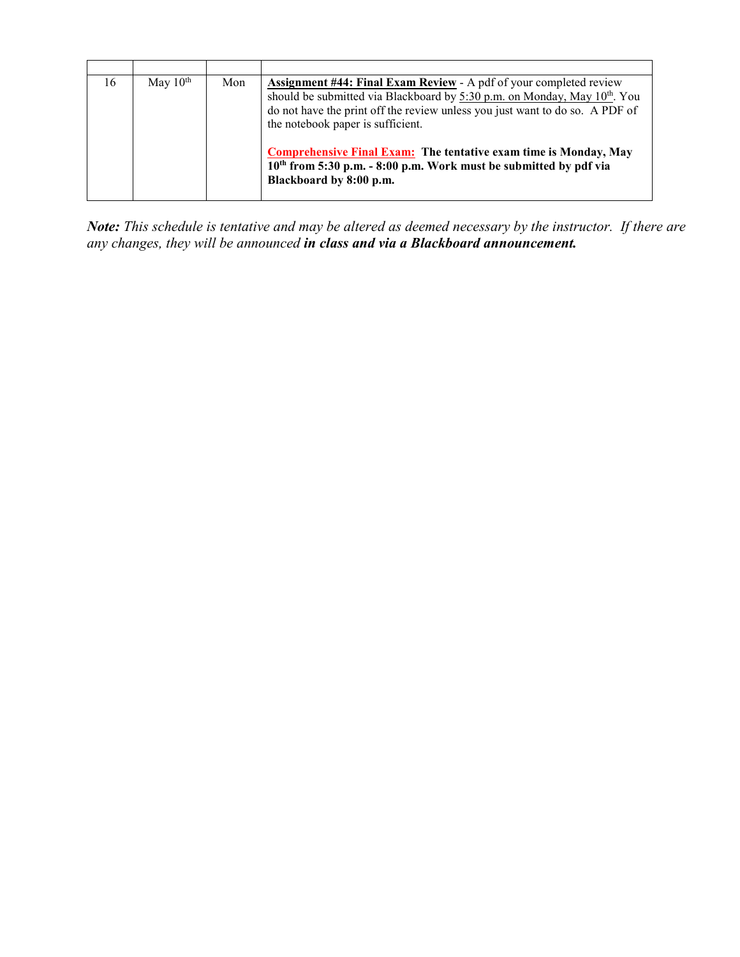| 16 | May $10th$ | Mon | <b>Assignment #44: Final Exam Review</b> - A pdf of your completed review<br>should be submitted via Blackboard by 5:30 p.m. on Monday, May 10 <sup>th</sup> . You<br>do not have the print off the review unless you just want to do so. A PDF of<br>the notebook paper is sufficient. |
|----|------------|-----|-----------------------------------------------------------------------------------------------------------------------------------------------------------------------------------------------------------------------------------------------------------------------------------------|
|    |            |     | <b>Comprehensive Final Exam:</b> The tentative exam time is Monday, May<br>10 <sup>th</sup> from 5:30 p.m. - 8:00 p.m. Work must be submitted by pdf via<br>Blackboard by 8:00 p.m.                                                                                                     |

*Note: This schedule is tentative and may be altered as deemed necessary by the instructor. If there are any changes, they will be announced in class and via a Blackboard announcement.*